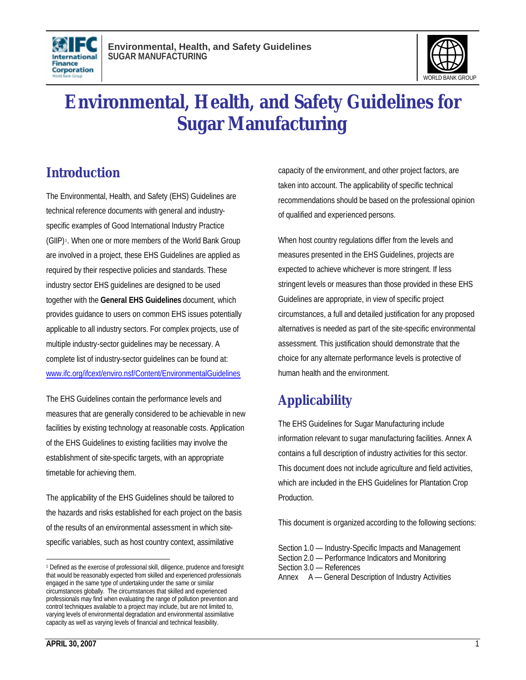



# **Environmental, Health, and Safety Guidelines for Sugar Manufacturing**

### **Introduction**

The Environmental, Health, and Safety (EHS) Guidelines are technical reference documents with general and industryspecific examples of Good International Industry Practice (GIIP) <sup>1</sup> . When one or more members of the World Bank Group are involved in a project, these EHS Guidelines are applied as required by their respective policies and standards. These industry sector EHS guidelines are designed to be used together with the **General EHS Guidelines** document, which provides guidance to users on common EHS issues potentially applicable to all industry sectors. For complex projects, use of multiple industry-sector guidelines may be necessary. A complete list of industry-sector guidelines can be found at: www.ifc.org/ifcext/enviro.nsf/Content/EnvironmentalGuidelines

The EHS Guidelines contain the performance levels and measures that are generally considered to be achievable in new facilities by existing technology at reasonable costs. Application of the EHS Guidelines to existing facilities may involve the establishment of site-specific targets, with an appropriate timetable for achieving them.

The applicability of the EHS Guidelines should be tailored to the hazards and risks established for each project on the basis of the results of an environmental assessment in which sitespecific variables, such as host country context, assimilative

capacity of the environment, and other project factors, are taken into account. The applicability of specific technical recommendations should be based on the professional opinion of qualified and experienced persons.

When host country regulations differ from the levels and measures presented in the EHS Guidelines, projects are expected to achieve whichever is more stringent. If less stringent levels or measures than those provided in these EHS Guidelines are appropriate, in view of specific project circumstances, a full and detailed justification for any proposed alternatives is needed as part of the site-specific environmental assessment. This justification should demonstrate that the choice for any alternate performance levels is protective of human health and the environment.

# **Applicability**

The EHS Guidelines for Sugar Manufacturing include information relevant to sugar manufacturing facilities. Annex A contains a full description of industry activities for this sector. This document does not include agriculture and field activities, which are included in the EHS Guidelines for Plantation Crop Production.

This document is organized according to the following sections:

 $\overline{a}$ <sup>1</sup> Defined as the exercise of professional skill, diligence, prudence and foresight that would be reasonably expected from skilled and experienced professionals engaged in the same type of undertaking under the same or similar circumstances globally. The circumstances that skilled and experienced professionals may find when evaluating the range of pollution prevention and control techniques available to a project may include, but are not limited to, varying levels of environmental degradation and environmental assimilative capacity as well as varying levels of financial and technical feasibility.

Section 1.0 — Industry-Specific Impacts and Management Section 2.0 — Performance Indicators and Monitoring Section 3.0 — References Annex A — General Description of Industry Activities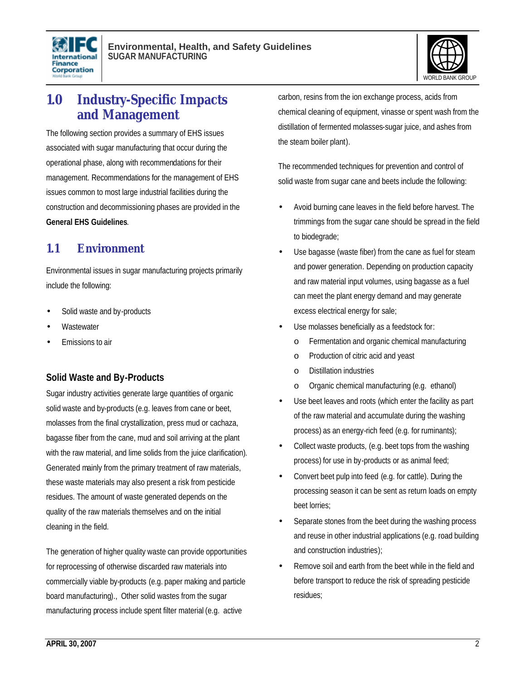



### **1.0 Industry-Specific Impacts and Management**

The following section provides a summary of EHS issues associated with sugar manufacturing that occur during the operational phase, along with recommendations for their management. Recommendations for the management of EHS issues common to most large industrial facilities during the construction and decommissioning phases are provided in the **General EHS Guidelines**.

### **1.1 Environment**

Environmental issues in sugar manufacturing projects primarily include the following:

- Solid waste and by-products
- **Wastewater**
- Emissions to air

### **Solid Waste and By-Products**

Sugar industry activities generate large quantities of organic solid waste and by-products (e.g. leaves from cane or beet, molasses from the final crystallization, press mud or cachaza, bagasse fiber from the cane, mud and soil arriving at the plant with the raw material, and lime solids from the juice clarification). Generated mainly from the primary treatment of raw materials, these waste materials may also present a risk from pesticide residues. The amount of waste generated depends on the quality of the raw materials themselves and on the initial cleaning in the field.

The generation of higher quality waste can provide opportunities for reprocessing of otherwise discarded raw materials into commercially viable by-products (e.g. paper making and particle board manufacturing)., Other solid wastes from the sugar manufacturing process include spent filter material (e.g. active

carbon, resins from the ion exchange process, acids from chemical cleaning of equipment, vinasse or spent wash from the distillation of fermented molasses-sugar juice, and ashes from the steam boiler plant).

The recommended techniques for prevention and control of solid waste from sugar cane and beets include the following:

- Avoid burning cane leaves in the field before harvest. The trimmings from the sugar cane should be spread in the field to biodegrade;
- Use bagasse (waste fiber) from the cane as fuel for steam and power generation. Depending on production capacity and raw material input volumes, using bagasse as a fuel can meet the plant energy demand and may generate excess electrical energy for sale;
- Use molasses beneficially as a feedstock for:
	- o Fermentation and organic chemical manufacturing
	- o Production of citric acid and yeast
	- o Distillation industries
	- o Organic chemical manufacturing (e.g. ethanol)
- Use beet leaves and roots (which enter the facility as part of the raw material and accumulate during the washing process) as an energy-rich feed (e.g. for ruminants);
- Collect waste products, (e.g. beet tops from the washing process) for use in by-products or as animal feed;
- Convert beet pulp into feed (e.g. for cattle). During the processing season it can be sent as return loads on empty beet lorries;
- Separate stones from the beet during the washing process and reuse in other industrial applications (e.g. road building and construction industries);
- Remove soil and earth from the beet while in the field and before transport to reduce the risk of spreading pesticide residues;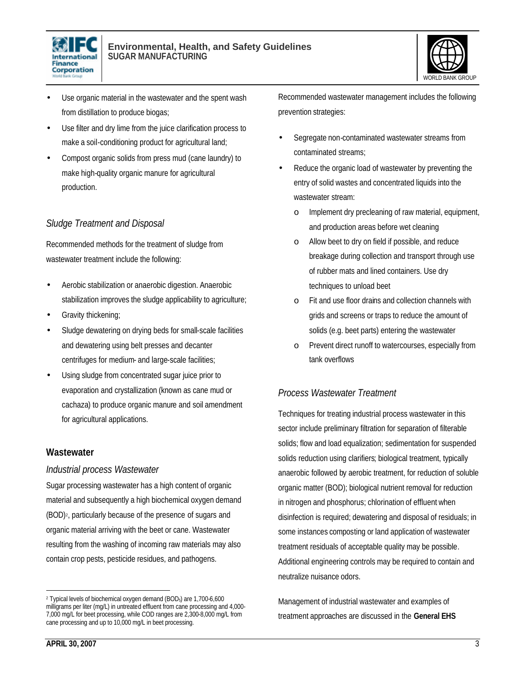



- Use organic material in the wastewater and the spent wash from distillation to produce biogas;
- Use filter and dry lime from the juice clarification process to make a soil-conditioning product for agricultural land;
- Compost organic solids from press mud (cane laundry) to make high-quality organic manure for agricultural production.

### *Sludge Treatment and Disposal*

Recommended methods for the treatment of sludge from wastewater treatment include the following:

- Aerobic stabilization or anaerobic digestion. Anaerobic stabilization improves the sludge applicability to agriculture;
- Gravity thickening;
- Sludge dewatering on drying beds for small-scale facilities and dewatering using belt presses and decanter centrifuges for medium- and large-scale facilities;
- Using sludge from concentrated sugar juice prior to evaporation and crystallization (known as cane mud or cachaza) to produce organic manure and soil amendment for agricultural applications.

#### **Wastewater**

#### *Industrial process Wastewater*

Sugar processing wastewater has a high content of organic material and subsequently a high biochemical oxygen demand (BOD)<sup>2</sup> , particularly because of the presence of sugars and organic material arriving with the beet or cane. Wastewater resulting from the washing of incoming raw materials may also contain crop pests, pesticide residues, and pathogens.

Recommended wastewater management includes the following prevention strategies:

- Segregate non-contaminated wastewater streams from contaminated streams;
- Reduce the organic load of wastewater by preventing the entry of solid wastes and concentrated liquids into the wastewater stream:
	- o Implement dry precleaning of raw material, equipment, and production areas before wet cleaning
	- Allow beet to dry on field if possible, and reduce breakage during collection and transport through use of rubber mats and lined containers. Use dry techniques to unload beet
	- o Fit and use floor drains and collection channels with grids and screens or traps to reduce the amount of solids (e.g. beet parts) entering the wastewater
	- o Prevent direct runoff to watercourses, especially from tank overflows

### *Process Wastewater Treatment*

Techniques for treating industrial process wastewater in this sector include preliminary filtration for separation of filterable solids; flow and load equalization; sedimentation for suspended solids reduction using clarifiers; biological treatment, typically anaerobic followed by aerobic treatment, for reduction of soluble organic matter (BOD); biological nutrient removal for reduction in nitrogen and phosphorus; chlorination of effluent when disinfection is required; dewatering and disposal of residuals; in some instances composting or land application of wastewater treatment residuals of acceptable quality may be possible. Additional engineering controls may be required to contain and neutralize nuisance odors.

Management of industrial wastewater and examples of treatment approaches are discussed in the **General EHS** 

l

<sup>2</sup> Typical levels of biochemical oxygen demand (BOD5) are 1,700-6,600 milligrams per liter (mg/L) in untreated effluent from cane processing and 4,000- 7,000 mg/L for beet processing, while COD ranges are 2,300-8,000 mg/L from cane processing and up to 10,000 mg/L in beet processing.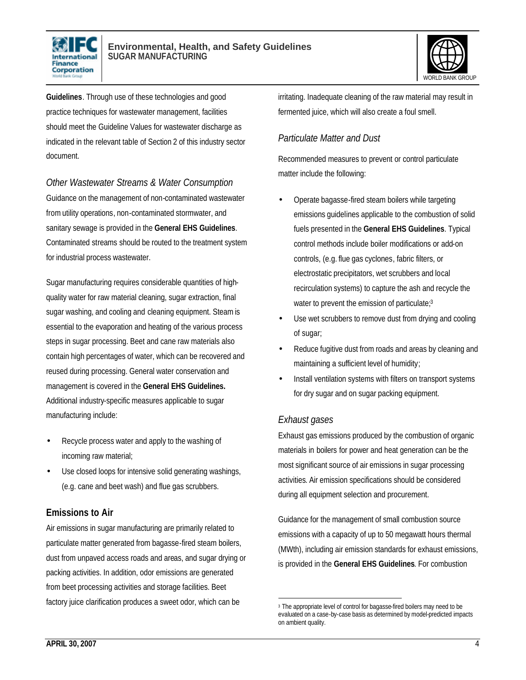



**Guidelines**. Through use of these technologies and good practice techniques for wastewater management, facilities should meet the Guideline Values for wastewater discharge as indicated in the relevant table of Section 2 of this industry sector document.

*Other Wastewater Streams & Water Consumption* Guidance on the management of non-contaminated wastewater from utility operations, non-contaminated stormwater, and sanitary sewage is provided in the **General EHS Guidelines**. Contaminated streams should be routed to the treatment system for industrial process wastewater.

Sugar manufacturing requires considerable quantities of highquality water for raw material cleaning, sugar extraction, final sugar washing, and cooling and cleaning equipment. Steam is essential to the evaporation and heating of the various process steps in sugar processing. Beet and cane raw materials also contain high percentages of water, which can be recovered and reused during processing. General water conservation and management is covered in the **General EHS Guidelines.** Additional industry-specific measures applicable to sugar manufacturing include:

- Recycle process water and apply to the washing of incoming raw material;
- Use closed loops for intensive solid generating washings, (e.g. cane and beet wash) and flue gas scrubbers.

### **Emissions to Air**

Air emissions in sugar manufacturing are primarily related to particulate matter generated from bagasse-fired steam boilers, dust from unpaved access roads and areas, and sugar drying or packing activities. In addition, odor emissions are generated from beet processing activities and storage facilities. Beet factory juice clarification produces a sweet odor, which can be

irritating. Inadequate cleaning of the raw material may result in fermented juice, which will also create a foul smell.

### *Particulate Matter and Dust*

Recommended measures to prevent or control particulate matter include the following:

- Operate bagasse-fired steam boilers while targeting emissions guidelines applicable to the combustion of solid fuels presented in the **General EHS Guidelines**. Typical control methods include boiler modifications or add-on controls, (e.g. flue gas cyclones, fabric filters, or electrostatic precipitators, wet scrubbers and local recirculation systems) to capture the ash and recycle the water to prevent the emission of particulate;<sup>3</sup>
- Use wet scrubbers to remove dust from drying and cooling of sugar;
- Reduce fugitive dust from roads and areas by cleaning and maintaining a sufficient level of humidity;
- Install ventilation systems with filters on transport systems for dry sugar and on sugar packing equipment.

#### *Exhaust gases*

Exhaust gas emissions produced by the combustion of organic materials in boilers for power and heat generation can be the most significant source of air emissions in sugar processing activities. Air emission specifications should be considered during all equipment selection and procurement.

Guidance for the management of small combustion source emissions with a capacity of up to 50 megawatt hours thermal (MWth), including air emission standards for exhaust emissions, is provided in the **General EHS Guidelines**. For combustion

<sup>1</sup> <sup>3</sup> The appropriate level of control for bagasse-fired boilers may need to be evaluated on a case-by-case basis as determined by model-predicted impacts on ambient quality.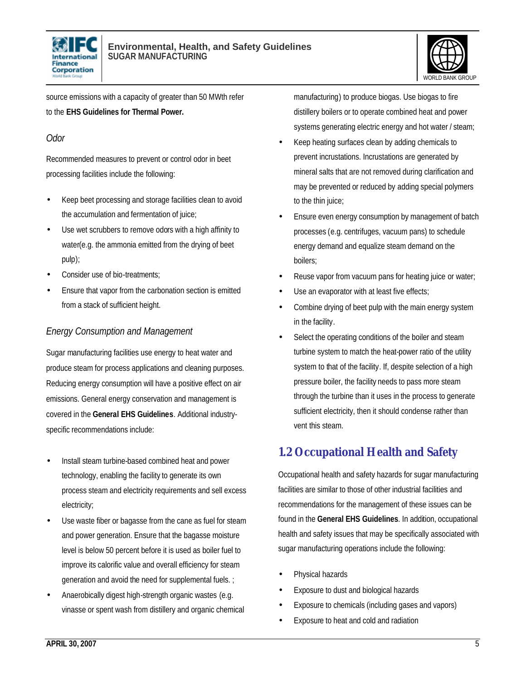



source emissions with a capacity of greater than 50 MWth refer to the **EHS Guidelines for Thermal Power.**

### *Odor*

Recommended measures to prevent or control odor in beet processing facilities include the following:

- Keep beet processing and storage facilities clean to avoid the accumulation and fermentation of juice;
- Use wet scrubbers to remove odors with a high affinity to water(e.g. the ammonia emitted from the drying of beet pulp);
- Consider use of bio-treatments:
- Ensure that vapor from the carbonation section is emitted from a stack of sufficient height.

### *Energy Consumption and Management*

Sugar manufacturing facilities use energy to heat water and produce steam for process applications and cleaning purposes. Reducing energy consumption will have a positive effect on air emissions. General energy conservation and management is covered in the **General EHS Guidelines**. Additional industryspecific recommendations include:

- Install steam turbine-based combined heat and power technology, enabling the facility to generate its own process steam and electricity requirements and sell excess electricity;
- Use waste fiber or bagasse from the cane as fuel for steam and power generation. Ensure that the bagasse moisture level is below 50 percent before it is used as boiler fuel to improve its calorific value and overall efficiency for steam generation and avoid the need for supplemental fuels. ;
- Anaerobically digest high-strength organic wastes (e.g. vinasse or spent wash from distillery and organic chemical

manufacturing) to produce biogas. Use biogas to fire distillery boilers or to operate combined heat and power systems generating electric energy and hot water / steam;

- Keep heating surfaces clean by adding chemicals to prevent incrustations. Incrustations are generated by mineral salts that are not removed during clarification and may be prevented or reduced by adding special polymers to the thin juice;
- Ensure even energy consumption by management of batch processes (e.g. centrifuges, vacuum pans) to schedule energy demand and equalize steam demand on the boilers;
- Reuse vapor from vacuum pans for heating juice or water;
- Use an evaporator with at least five effects;
- Combine drying of beet pulp with the main energy system in the facility.
- Select the operating conditions of the boiler and steam turbine system to match the heat-power ratio of the utility system to that of the facility. If, despite selection of a high pressure boiler, the facility needs to pass more steam through the turbine than it uses in the process to generate sufficient electricity, then it should condense rather than vent this steam.

### **1.2 Occupational Health and Safety**

Occupational health and safety hazards for sugar manufacturing facilities are similar to those of other industrial facilities and recommendations for the management of these issues can be found in the **General EHS Guidelines**. In addition, occupational health and safety issues that may be specifically associated with sugar manufacturing operations include the following:

- Physical hazards
- Exposure to dust and biological hazards
- Exposure to chemicals (including gases and vapors)
- Exposure to heat and cold and radiation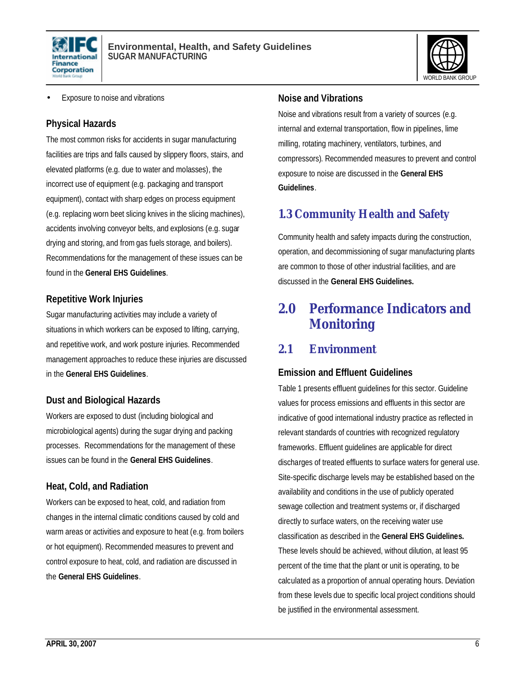



• Exposure to noise and vibrations

#### **Physical Hazards**

The most common risks for accidents in sugar manufacturing facilities are trips and falls caused by slippery floors, stairs, and elevated platforms (e.g. due to water and molasses), the incorrect use of equipment (e.g. packaging and transport equipment), contact with sharp edges on process equipment (e.g. replacing worn beet slicing knives in the slicing machines), accidents involving conveyor belts, and explosions (e.g. sugar drying and storing, and from gas fuels storage, and boilers). Recommendations for the management of these issues can be found in the **General EHS Guidelines**.

#### **Repetitive Work Injuries**

Sugar manufacturing activities may include a variety of situations in which workers can be exposed to lifting, carrying, and repetitive work, and work posture injuries. Recommended management approaches to reduce these injuries are discussed in the **General EHS Guidelines**.

### **Dust and Biological Hazards**

Workers are exposed to dust (including biological and microbiological agents) during the sugar drying and packing processes. Recommendations for the management of these issues can be found in the **General EHS Guidelines**.

### **Heat, Cold, and Radiation**

Workers can be exposed to heat, cold, and radiation from changes in the internal climatic conditions caused by cold and warm areas or activities and exposure to heat (e.g. from boilers or hot equipment). Recommended measures to prevent and control exposure to heat, cold, and radiation are discussed in the **General EHS Guidelines**.

#### **Noise and Vibrations**

Noise and vibrations result from a variety of sources (e.g. internal and external transportation, flow in pipelines, lime milling, rotating machinery, ventilators, turbines, and compressors). Recommended measures to prevent and control exposure to noise are discussed in the **General EHS Guidelines**.

### **1.3 Community Health and Safety**

Community health and safety impacts during the construction, operation, and decommissioning of sugar manufacturing plants are common to those of other industrial facilities, and are discussed in the **General EHS Guidelines.**

### **2.0 Performance Indicators and Monitoring**

### **2.1 Environment**

### **Emission and Effluent Guidelines**

Table 1 presents effluent guidelines for this sector. Guideline values for process emissions and effluents in this sector are indicative of good international industry practice as reflected in relevant standards of countries with recognized regulatory frameworks. Effluent guidelines are applicable for direct discharges of treated effluents to surface waters for general use. Site-specific discharge levels may be established based on the availability and conditions in the use of publicly operated sewage collection and treatment systems or, if discharged directly to surface waters, on the receiving water use classification as described in the **General EHS Guidelines.** These levels should be achieved, without dilution, at least 95 percent of the time that the plant or unit is operating, to be calculated as a proportion of annual operating hours. Deviation from these levels due to specific local project conditions should be justified in the environmental assessment.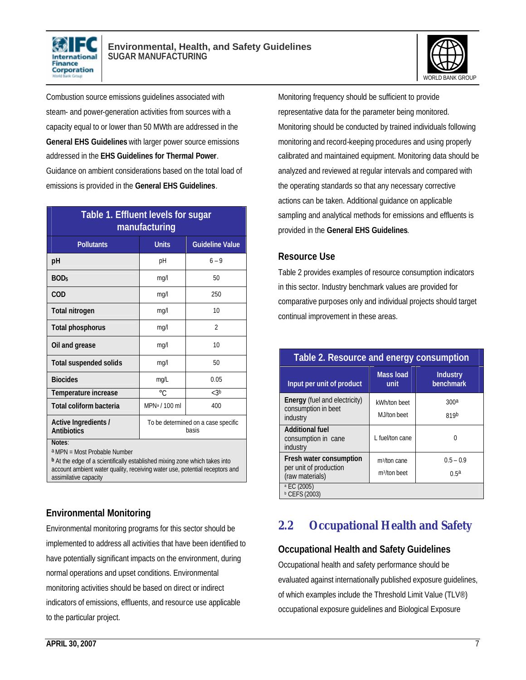



Combustion source emissions guidelines associated with steam- and power-generation activities from sources with a capacity equal to or lower than 50 MWth are addressed in the **General EHS Guidelines** with larger power source emissions addressed in the **EHS Guidelines for Thermal Power**. Guidance on ambient considerations based on the total load of emissions is provided in the **General EHS Guidelines**.

| Table 1. Effluent levels for sugar<br>manufacturing |                                              |                          |  |
|-----------------------------------------------------|----------------------------------------------|--------------------------|--|
| <b>Pollutants</b>                                   | <b>Units</b>                                 | <b>Guideline Value</b>   |  |
| рH                                                  | pH                                           | $6 - 9$                  |  |
| BOD <sub>5</sub>                                    | mq/l                                         | 50                       |  |
| <b>COD</b>                                          | mg/l                                         | 250                      |  |
| <b>Total nitrogen</b>                               | mg/l                                         | 10                       |  |
| <b>Total phosphorus</b>                             | mg/l                                         | $\overline{\mathcal{L}}$ |  |
| Oil and grease                                      | mq/l                                         | 10                       |  |
| <b>Total suspended solids</b>                       | mg/l                                         | 50                       |  |
| <b>Biocides</b>                                     | mg/L                                         | 0.05                     |  |
| Temperature increase                                | $\circ$ C                                    | < 3b                     |  |
| Total coliform bacteria                             | MPN <sup>a</sup> / 100 ml                    | 400                      |  |
| Active Ingredients /<br><b>Antibiotics</b>          | To be determined on a case specific<br>hasis |                          |  |
| Notes:                                              |                                              |                          |  |

a MPN = Most Probable Number

**<sup>b</sup>**At the edge of a scientifically established mixing zone which takes into account ambient water quality, receiving water use, potential receptors and assimilative capacity

### **Environmental Monitoring**

Environmental monitoring programs for this sector should be implemented to address all activities that have been identified to have potentially significant impacts on the environment, during normal operations and upset conditions. Environmental monitoring activities should be based on direct or indirect indicators of emissions, effluents, and resource use applicable to the particular project.

Monitoring frequency should be sufficient to provide representative data for the parameter being monitored. Monitoring should be conducted by trained individuals following monitoring and record-keeping procedures and using properly calibrated and maintained equipment. Monitoring data should be analyzed and reviewed at regular intervals and compared with the operating standards so that any necessary corrective actions can be taken. Additional guidance on applicable sampling and analytical methods for emissions and effluents is provided in the **General EHS Guidelines**.

### **Resource Use**

Table 2 provides examples of resource consumption indicators in this sector. Industry benchmark values are provided for comparative purposes only and individual projects should target continual improvement in these areas.

| Table 2. Resource and energy consumption                                |                                                      |                                 |  |
|-------------------------------------------------------------------------|------------------------------------------------------|---------------------------------|--|
| Input per unit of product                                               | <b>Mass load</b><br>unit                             | <b>Industry</b><br>benchmark    |  |
| <b>Energy</b> (fuel and electricity)<br>consumption in beet<br>industry | kWh/ton beet<br>MJ/ton beet                          | 300 <sup>a</sup><br>819b        |  |
| <b>Additional fuel</b><br>consumption in cane<br>industry               | L fuel/ton cane                                      |                                 |  |
| Fresh water consumption<br>per unit of production<br>(raw materials)    | m <sup>3</sup> /ton cane<br>m <sup>3</sup> /ton beet | $0.5 - 0.9$<br>0.5 <sup>a</sup> |  |
| <sup>a</sup> EC (2005)<br><b>b</b> CEFS (2003)                          |                                                      |                                 |  |

### **2.2 Occupational Health and Safety**

### **Occupational Health and Safety Guidelines**

Occupational health and safety performance should be evaluated against internationally published exposure guidelines, of which examples include the Threshold Limit Value (TLV®) occupational exposure guidelines and Biological Exposure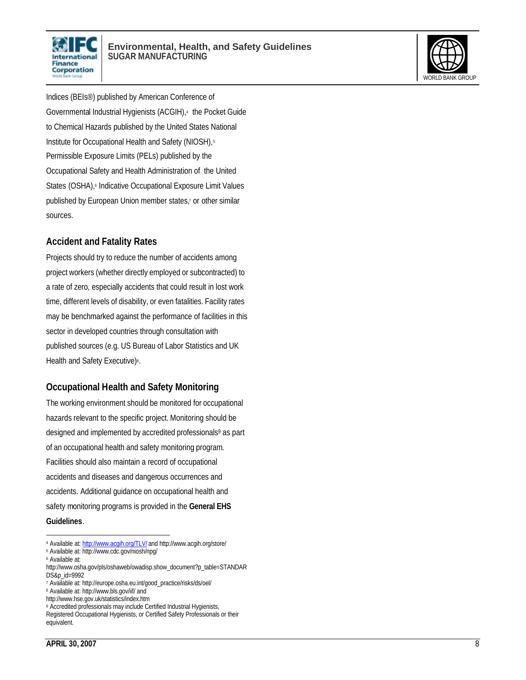



Indices (BEIs®) published by American Conference of Governmental Industrial Hygienists (ACGIH),<sup>4</sup> the Pocket Guide to Chemical Hazards published by the United States National Institute for Occupational Health and Safety (NIOSH),<sup>5</sup> Permissible Exposure Limits (PELs) published by the Occupational Safety and Health Administration of the United States (OSHA),<sup>6</sup> Indicative Occupational Exposure Limit Values published by European Union member states,<sup>7</sup> or other similar sources.

#### **Accident and Fatality Rates**

Projects should try to reduce the number of accidents among project workers (whether directly employed or subcontracted) to a rate of zero, especially accidents that could result in lost work time, different levels of disability, or even fatalities. Facility rates may be benchmarked against the performance of facilities in this sector in developed countries through consultation with published sources (e.g. US Bureau of Labor Statistics and UK Health and Safety Executive)<sup>8</sup>.

### **Occupational Health and Safety Monitoring**

The working environment should be monitored for occupational hazards relevant to the specific project. Monitoring should be designed and implemented by accredited professionals<sup>9</sup> as part of an occupational health and safety monitoring program. Facilities should also maintain a record of occupational accidents and diseases and dangerous occurrences and accidents. Additional guidance on occupational health and safety monitoring programs is provided in the **General EHS Guidelines**.

 $\overline{a}$ 

<sup>4</sup> Available at: http://www.acqih.org/TLV/ and http://www.acgih.org/store/

<sup>5</sup> Available at: http://www.cdc.gov/niosh/npg/

<sup>6</sup> Available at:

http://www.osha.gov/pls/oshaweb/owadisp.show\_document?p\_table=STANDAR DS&p\_id=9992

<sup>7</sup> Available at: http://europe.osha.eu.int/good\_practice/risks/ds/oel/

<sup>8</sup> Available at: http://www.bls.gov/iif/ and

http://www.hse.gov.uk/statistics/index.htm

<sup>9</sup> Accredited professionals may include Certified Industrial Hygienists,

Registered Occupational Hygienists, or Certified Safety Professionals or their equivalent.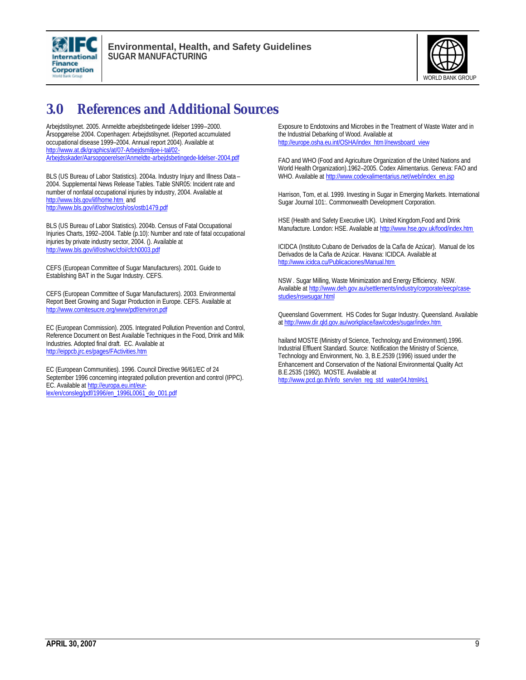



## **3.0 References and Additional Sources**

Arbejdstilsynet. 2005. Anmeldte arbejdsbetingede lidelser 1999–2000. Årsopgørelse 2004. Copenhagen: Arbejdstilsynet. (Reported accumulated occupational disease 1999–2004. Annual report 2004). Available at http://www.at.dk/graphics/at/07-Arbejdsmiljoe-i-tal/02- Arbejdsskader/Aarsopgoerelser/Anmeldte-arbejdsbetingede-lidelser-2004.pdf

BLS (US Bureau of Labor Statistics). 2004a. Industry Injury and Illness Data – 2004. Supplemental News Release Tables. Table SNR05: Incident rate and number of nonfatal occupational injuries by industry, 2004. Available at http://www.bls.gov/iif/home.htm and http://www.bls.gov/iif/oshwc/osh/os/ostb1479.pdf

BLS (US Bureau of Labor Statistics). 2004b. Census of Fatal Occupational Injuries Charts, 1992–2004. Table (p.10): Number and rate of fatal occupational injuries by private industry sector, 2004. (). Available at http://www.bls.gov/iif/oshwc/cfoi/cfch0003.pdf

CEFS (European Committee of Sugar Manufacturers). 2001. Guide to Establishing BAT in the Sugar Industry. CEFS.

CEFS (European Committee of Sugar Manufacturers). 2003. Environmental Report Beet Growing and Sugar Production in Europe. CEFS. Available at http://www.comitesucre.org/www/pdf/environ.pdf

EC (European Commission). 2005. Integrated Pollution Prevention and Control, Reference Document on Best Available Techniques in the Food, Drink and Milk Industries. Adopted final draft. EC. Available at http://eippcb.jrc.es/pages/FActivities.htm

EC (European Communities). 1996. Council Directive 96/61/EC of 24 September 1996 concerning integrated pollution prevention and control (IPPC). EC. Available at http://europa.eu.int/eurlex/en/consleg/pdf/1996/en\_1996L0061\_do\_001.pdf

Exposure to Endotoxins and Microbes in the Treatment of Waste Water and in the Industrial Debarking of Wood. Available at http://europe.osha.eu.int/OSHA/index\_html/newsboard\_view

FAO and WHO (Food and Agriculture Organization of the United Nations and World Health Organization).1962–2005. Codex Alimentarius. Geneva: FAO and WHO. Available at http://www.codexalimentarius.net/web/index\_en.jsp

Harrison, Tom, et al. 1999. Investing in Sugar in Emerging Markets. International Sugar Journal 101:. Commonwealth Development Corporation.

HSE (Health and Safety Executive UK). United Kingdom,Food and Drink Manufacture. London: HSE. Available at http://www.hse.gov.uk/food/index.htm

ICIDCA (Instituto Cubano de Derivados de la Caña de Azúcar). Manual de los Derivados de la Caña de Azúcar. Havana: ICIDCA. Available at http://www.icidca.cu/Publicaciones/Manual.htm

NSW . Sugar Milling, Waste Minimization and Energy Efficiency. NSW. Available at http://www.deh.gov.au/settlements/industry/corporate/eecp/casestudies/nswsugar.html

Queensland Government. HS Codes for Sugar Industry. Queensland. Available at http://www.dir.qld.gov.au/workplace/law/codes/sugar/index.htm

hailand MOSTE (Ministry of Science, Technology and Environment).1996. Industrial Effluent Standard. Source: Notification the Ministry of Science, Technology and Environment, No. 3, B.E.2539 (1996) issued under the Enhancement and Conservation of the National Environmental Quality Act B.E.2535 (1992). MOSTE. Available at http://www.pcd.go.th/info\_serv/en\_reg\_std\_water04.html#s1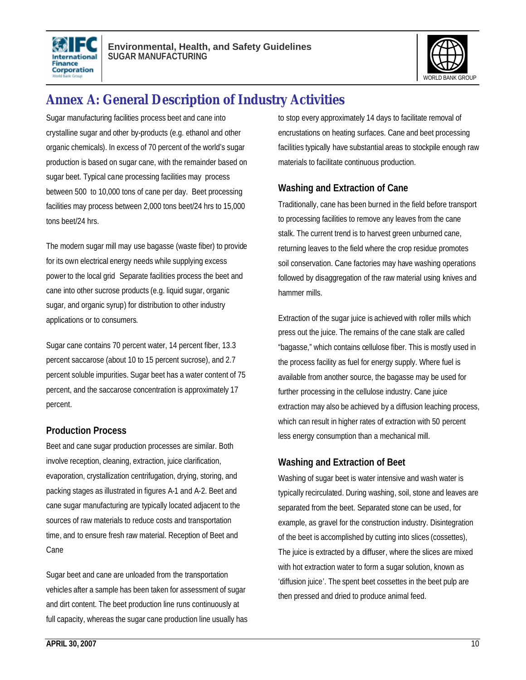



# **Annex A: General Description of Industry Activities**

Sugar manufacturing facilities process beet and cane into crystalline sugar and other by-products (e.g. ethanol and other organic chemicals). In excess of 70 percent of the world's sugar production is based on sugar cane, with the remainder based on sugar beet. Typical cane processing facilities may process between 500 to 10,000 tons of cane per day. Beet processing facilities may process between 2,000 tons beet/24 hrs to 15,000 tons beet/24 hrs.

The modern sugar mill may use bagasse (waste fiber) to provide for its own electrical energy needs while supplying excess power to the local grid Separate facilities process the beet and cane into other sucrose products (e.g. liquid sugar, organic sugar, and organic syrup) for distribution to other industry applications or to consumers.

Sugar cane contains 70 percent water, 14 percent fiber, 13.3 percent saccarose (about 10 to 15 percent sucrose), and 2.7 percent soluble impurities. Sugar beet has a water content of 75 percent, and the saccarose concentration is approximately 17 percent.

#### **Production Process**

Beet and cane sugar production processes are similar. Both involve reception, cleaning, extraction, juice clarification, evaporation, crystallization centrifugation, drying, storing, and packing stages as illustrated in figures A-1 and A-2. Beet and cane sugar manufacturing are typically located adjacent to the sources of raw materials to reduce costs and transportation time, and to ensure fresh raw material. Reception of Beet and Cane

Sugar beet and cane are unloaded from the transportation vehicles after a sample has been taken for assessment of sugar and dirt content. The beet production line runs continuously at full capacity, whereas the sugar cane production line usually has to stop every approximately 14 days to facilitate removal of encrustations on heating surfaces. Cane and beet processing facilities typically have substantial areas to stockpile enough raw materials to facilitate continuous production.

### **Washing and Extraction of Cane**

Traditionally, cane has been burned in the field before transport to processing facilities to remove any leaves from the cane stalk. The current trend is to harvest green unburned cane, returning leaves to the field where the crop residue promotes soil conservation. Cane factories may have washing operations followed by disaggregation of the raw material using knives and hammer mills.

Extraction of the sugar juice is achieved with roller mills which press out the juice. The remains of the cane stalk are called "bagasse," which contains cellulose fiber. This is mostly used in the process facility as fuel for energy supply. Where fuel is available from another source, the bagasse may be used for further processing in the cellulose industry. Cane juice extraction may also be achieved by a diffusion leaching process, which can result in higher rates of extraction with 50 percent less energy consumption than a mechanical mill.

### **Washing and Extraction of Beet**

Washing of sugar beet is water intensive and wash water is typically recirculated. During washing, soil, stone and leaves are separated from the beet. Separated stone can be used, for example, as gravel for the construction industry. Disintegration of the beet is accomplished by cutting into slices (cossettes), The juice is extracted by a diffuser, where the slices are mixed with hot extraction water to form a sugar solution, known as 'diffusion juice'. The spent beet cossettes in the beet pulp are then pressed and dried to produce animal feed.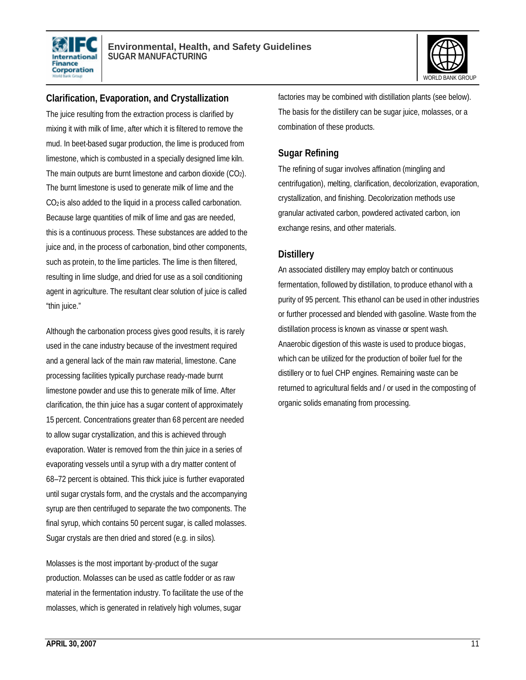



### **Clarification, Evaporation, and Crystallization**

The juice resulting from the extraction process is clarified by mixing it with milk of lime, after which it is filtered to remove the mud. In beet-based sugar production, the lime is produced from limestone, which is combusted in a specially designed lime kiln. The main outputs are burnt limestone and carbon dioxide (CO2). The burnt limestone is used to generate milk of lime and the CO2 is also added to the liquid in a process called carbonation. Because large quantities of milk of lime and gas are needed, this is a continuous process. These substances are added to the juice and, in the process of carbonation, bind other components, such as protein, to the lime particles. The lime is then filtered, resulting in lime sludge, and dried for use as a soil conditioning agent in agriculture. The resultant clear solution of juice is called "thin juice."

Although the carbonation process gives good results, it is rarely used in the cane industry because of the investment required and a general lack of the main raw material, limestone. Cane processing facilities typically purchase ready-made burnt limestone powder and use this to generate milk of lime. After clarification, the thin juice has a sugar content of approximately 15 percent. Concentrations greater than 68 percent are needed to allow sugar crystallization, and this is achieved through evaporation. Water is removed from the thin juice in a series of evaporating vessels until a syrup with a dry matter content of 68–72 percent is obtained. This thick juice is further evaporated until sugar crystals form, and the crystals and the accompanying syrup are then centrifuged to separate the two components. The final syrup, which contains 50 percent sugar, is called molasses. Sugar crystals are then dried and stored (e.g. in silos).

Molasses is the most important by-product of the sugar production. Molasses can be used as cattle fodder or as raw material in the fermentation industry. To facilitate the use of the molasses, which is generated in relatively high volumes, sugar

factories may be combined with distillation plants (see below). The basis for the distillery can be sugar juice, molasses, or a combination of these products.

### **Sugar Refining**

The refining of sugar involves affination (mingling and centrifugation), melting, clarification, decolorization, evaporation, crystallization, and finishing. Decolorization methods use granular activated carbon, powdered activated carbon, ion exchange resins, and other materials.

### **Distillery**

An associated distillery may employ batch or continuous fermentation, followed by distillation, to produce ethanol with a purity of 95 percent. This ethanol can be used in other industries or further processed and blended with gasoline. Waste from the distillation process is known as vinasse or spent wash. Anaerobic digestion of this waste is used to produce biogas, which can be utilized for the production of boiler fuel for the distillery or to fuel CHP engines. Remaining waste can be returned to agricultural fields and / or used in the composting of organic solids emanating from processing.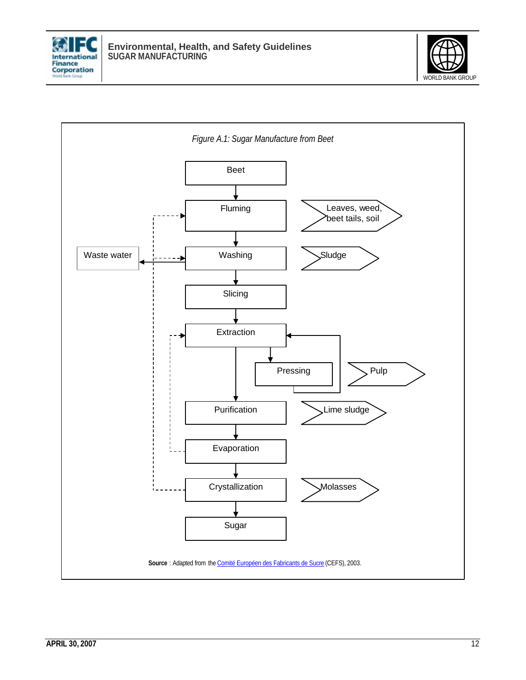